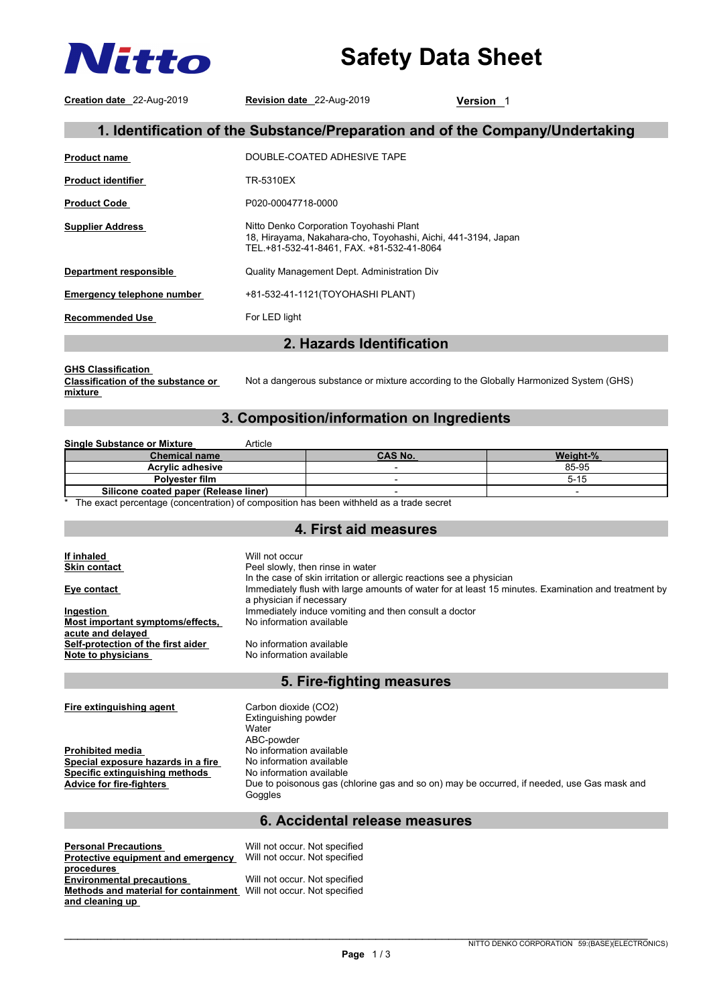

# **Safety Data Sheet**

**Creation date** 22-Aug-2019 **Revision date** 22-Aug-2019 **Version** 1

## **1. Identification of the Substance/Preparation and of the Company/Undertaking**

|                            | 2. Hazards Identification                                                                                                                             |
|----------------------------|-------------------------------------------------------------------------------------------------------------------------------------------------------|
| <b>Recommended Use</b>     | For LED light                                                                                                                                         |
| Emergency telephone number | +81-532-41-1121(TOYOHASHI PLANT)                                                                                                                      |
| Department responsible     | Quality Management Dept. Administration Div                                                                                                           |
| <b>Supplier Address</b>    | Nitto Denko Corporation Toyohashi Plant<br>18, Hirayama, Nakahara-cho, Toyohashi, Aichi, 441-3194, Japan<br>TEL.+81-532-41-8461. FAX. +81-532-41-8064 |
| <b>Product Code</b>        | P020-00047718-0000                                                                                                                                    |
| <b>Product identifier</b>  | TR-5310EX                                                                                                                                             |
| <b>Product name</b>        | DOUBLE-COATED ADHESIVE TAPE                                                                                                                           |

**GHS Classification**

**Classification of the substance or**

**Classification of the substance or** Not a dangerous substance or mixture according to the Globally Harmonized System (GHS) **mixture** 

## **3. Composition/information on Ingredients**

| Article<br><b>Single Substance or Mixture</b> |                |          |
|-----------------------------------------------|----------------|----------|
| <b>Chemical name</b>                          | <b>CAS No.</b> | Weight-% |
| <b>Acrylic adhesive</b>                       |                | 85-95    |
| Polvester film                                |                | 5-15     |
| Silicone coated paper (Release liner)         |                |          |
|                                               |                |          |

 $*$  The exact percentage (concentration) of composition has been withheld as a trade secret

#### **4. First aid measures**

| If inhaled                         | Will not occur                                                                                      |
|------------------------------------|-----------------------------------------------------------------------------------------------------|
| Skin contact                       | Peel slowly, then rinse in water                                                                    |
|                                    | In the case of skin irritation or allergic reactions see a physician                                |
| Eye contact                        | Immediately flush with large amounts of water for at least 15 minutes. Examination and treatment by |
|                                    | a physician if necessary                                                                            |
| Ingestion                          | Immediately induce vomiting and then consult a doctor                                               |
| Most important symptoms/effects,   | No information available                                                                            |
| acute and delaved                  |                                                                                                     |
| Self-protection of the first aider | No information available                                                                            |
| <b>Note to physicians</b>          | No information available                                                                            |
|                                    |                                                                                                     |

#### **5. Fire-fighting measures**

| Fire extinguishing agent           | Carbon dioxide (CO2)                                                                       |
|------------------------------------|--------------------------------------------------------------------------------------------|
|                                    | Extinguishing powder                                                                       |
|                                    | Water                                                                                      |
|                                    | ABC-powder                                                                                 |
| <b>Prohibited media</b>            | No information available                                                                   |
| Special exposure hazards in a fire | No information available                                                                   |
| Specific extinguishing methods     | No information available                                                                   |
| Advice for fire-fiahters           | Due to poisonous gas (chlorine gas and so on) may be occurred, if needed, use Gas mask and |
|                                    | Goggles                                                                                    |
|                                    |                                                                                            |

## **6. Accidental release measures**

| <b>Personal Precautions</b>                                               | Will not occur. Not specified |
|---------------------------------------------------------------------------|-------------------------------|
| Protective equipment and emergency                                        | Will not occur. Not specified |
| procedures                                                                |                               |
| <b>Environmental precautions</b>                                          | Will not occur. Not specified |
| <b>Methods and material for containment</b> Will not occur. Not specified |                               |
| and cleaning up                                                           |                               |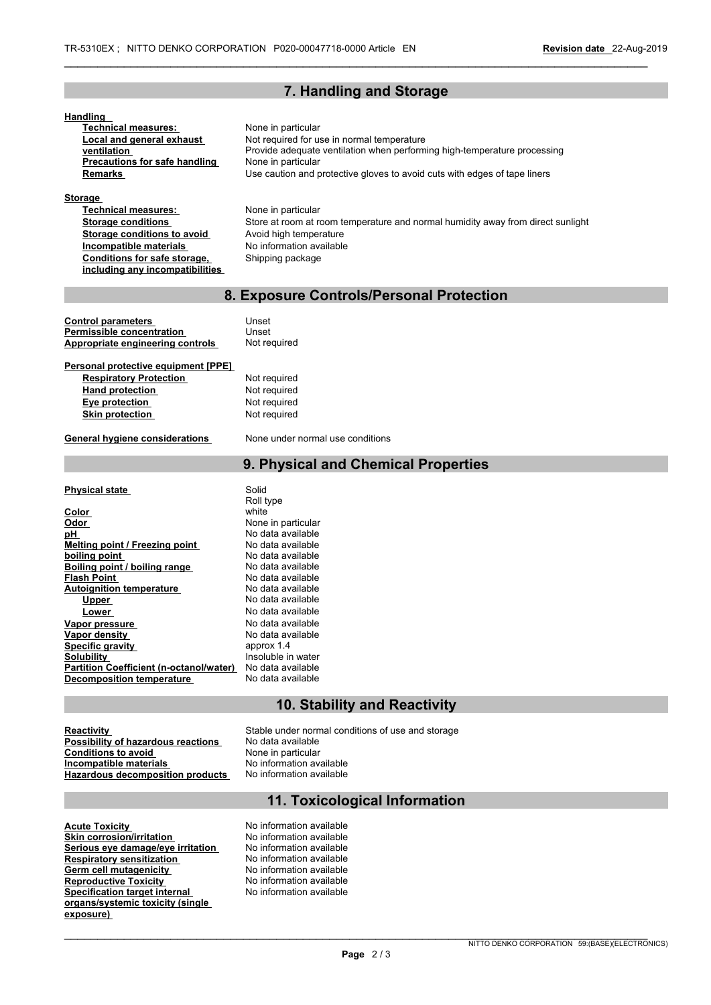#### **7. Handling and Storage**

 $\_$  , and the set of the set of the set of the set of the set of the set of the set of the set of the set of the set of the set of the set of the set of the set of the set of the set of the set of the set of the set of th

| Handling<br><b>Technical measures:</b><br>Local and general exhaust<br>ventilation<br>Precautions for safe handling<br><b>Remarks</b><br><b>Storage</b>                                                                                                                                                                                                     | None in particular<br>Not required for use in normal temperature<br>Provide adequate ventilation when performing high-temperature processing<br>None in particular<br>Use caution and protective gloves to avoid cuts with edges of tape liners                                                                                          |
|-------------------------------------------------------------------------------------------------------------------------------------------------------------------------------------------------------------------------------------------------------------------------------------------------------------------------------------------------------------|------------------------------------------------------------------------------------------------------------------------------------------------------------------------------------------------------------------------------------------------------------------------------------------------------------------------------------------|
| <b>Technical measures:</b><br><b>Storage conditions</b><br><b>Storage conditions to avoid</b><br>Incompatible materials<br>Conditions for safe storage,<br>including any incompatibilities                                                                                                                                                                  | None in particular<br>Store at room at room temperature and normal humidity away from direct sunlight<br>Avoid high temperature<br>No information available<br>Shipping package                                                                                                                                                          |
|                                                                                                                                                                                                                                                                                                                                                             | 8. Exposure Controls/Personal Protection                                                                                                                                                                                                                                                                                                 |
| <b>Control parameters</b><br>Permissible concentration<br>Appropriate engineering controls                                                                                                                                                                                                                                                                  | Unset<br>Unset<br>Not required                                                                                                                                                                                                                                                                                                           |
| Personal protective equipment [PPE]<br><b>Respiratory Protection</b><br>Hand protection<br>Eye protection<br><b>Skin protection</b>                                                                                                                                                                                                                         | Not required<br>Not required<br>Not required<br>Not required                                                                                                                                                                                                                                                                             |
| General hygiene considerations                                                                                                                                                                                                                                                                                                                              | None under normal use conditions                                                                                                                                                                                                                                                                                                         |
|                                                                                                                                                                                                                                                                                                                                                             | 9. Physical and Chemical Properties                                                                                                                                                                                                                                                                                                      |
| <b>Physical state</b>                                                                                                                                                                                                                                                                                                                                       | Solid                                                                                                                                                                                                                                                                                                                                    |
| Color<br>Odor<br>рH<br>Melting point / Freezing point<br>boiling point<br><b>Boiling point / boiling range</b><br><b>Flash Point</b><br><b>Autoignition temperature</b><br>Upper<br>Lower<br>Vapor pressure<br>Vapor density<br>Specific gravity<br><b>Solubility</b><br><b>Partition Coefficient (n-octanol/water)</b><br><b>Decomposition temperature</b> | Roll type<br>white<br>None in particular<br>No data available<br>No data available<br>No data available<br>No data available<br>No data available<br>No data available<br>No data available<br>No data available<br>No data available<br>No data available<br>approx 1.4<br>Insoluble in water<br>No data available<br>No data available |

#### **10. Stability and Reactivity**

## **Possibility of hazardous reactions Conditions to avoid**<br> **Conditions**<br> **Conditional None in particular**<br> **No** information avoid **Hazardous decomposition products**

**Reactivity**<br>**Reactivity Possibility of hazardous reactions** No data available<br>No data available **Information available**<br>**No information available** 

#### **11. Toxicological Information**

**Acute Toxicity No information available Skin corrosion/irritation**<br> **Serious eve damage/eve irritation** No information available **Serious eye damage/eye irritation** No information available<br> **Respiratory sensitization** No information available **Respiratory sensitization Germ cell mutagenicity**<br> **Reproductive Toxicity**<br>
No information available **Specification target internal organs/systemic toxicity (single exposure)**

**No information available** No information available